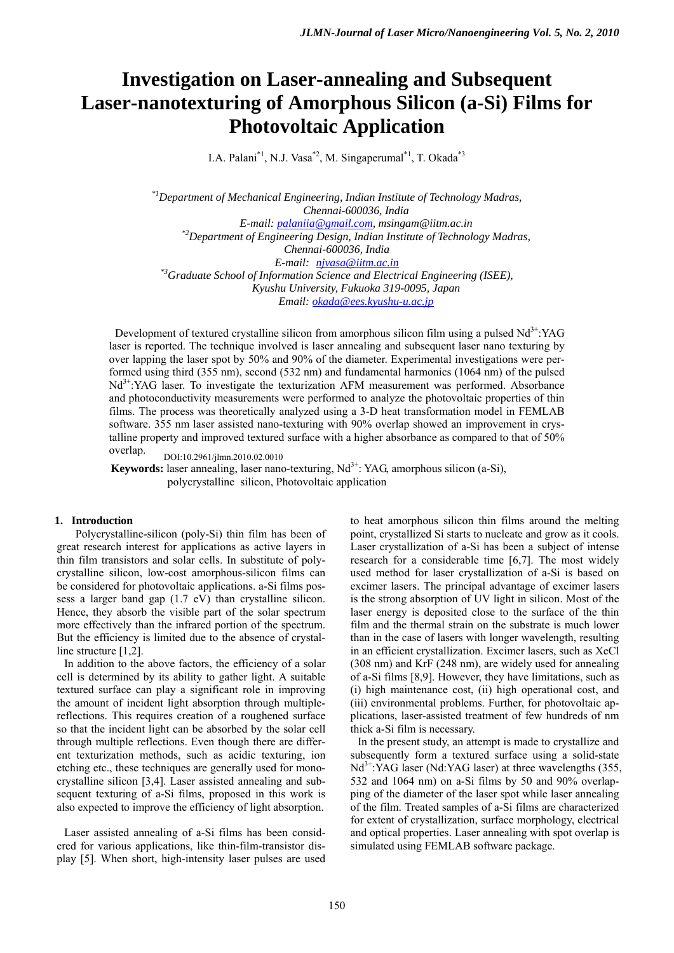# **Investigation on Laser-annealing and Subsequent Laser-nanotexturing of Amorphous Silicon (a-Si) Films for Photovoltaic Application**

I.A. Palani\*1, N.J. Vasa\*2, M. Singaperumal\*1, T. Okada\*3

*\*1Department of Mechanical Engineering, Indian Institute of Technology Madras, Chennai-600036, India E-mail: palaniia@gmail.com, msingam@iitm.ac.in \*2Department of Engineering Design, Indian Institute of Technology Madras, Chennai-600036, India E-mail: njvasa@iitm.ac.in \*3Graduate School of Information Science and Electrical Engineering (ISEE), Kyushu University, Fukuoka 319-0095, Japan Email: okada@ees.kyushu-u.ac.jp*

Development of textured crystalline silicon from amorphous silicon film using a pulsed  $Nd<sup>3+</sup>:YAG$ laser is reported. The technique involved is laser annealing and subsequent laser nano texturing by over lapping the laser spot by 50% and 90% of the diameter. Experimental investigations were performed using third (355 nm), second (532 nm) and fundamental harmonics (1064 nm) of the pulsed  $Nd<sup>3+</sup>:YAG laser. To investigate the texturization AFM measurement was performed. Absorbance$ and photoconductivity measurements were performed to analyze the photovoltaic properties of thin films. The process was theoretically analyzed using a 3-D heat transformation model in FEMLAB software. 355 nm laser assisted nano-texturing with 90% overlap showed an improvement in crystalline property and improved textured surface with a higher absorbance as compared to that of 50% overlap.

DOI:10.2961/jlmn.2010.02.0010

**Keywords:** laser annealing, laser nano-texturing, Nd<sup>3+</sup>: YAG, amorphous silicon (a-Si), polycrystalline silicon, Photovoltaic application

## **1. Introduction**

 Polycrystalline-silicon (poly-Si) thin film has been of great research interest for applications as active layers in thin film transistors and solar cells. In substitute of polycrystalline silicon, low-cost amorphous-silicon films can be considered for photovoltaic applications. a-Si films possess a larger band gap (1.7 eV) than crystalline silicon. Hence, they absorb the visible part of the solar spectrum more effectively than the infrared portion of the spectrum. But the efficiency is limited due to the absence of crystalline structure [1,2].

In addition to the above factors, the efficiency of a solar cell is determined by its ability to gather light. A suitable textured surface can play a significant role in improving the amount of incident light absorption through multiplereflections. This requires creation of a roughened surface so that the incident light can be absorbed by the solar cell through multiple reflections. Even though there are different texturization methods, such as acidic texturing, ion etching etc., these techniques are generally used for monocrystalline silicon [3,4]. Laser assisted annealing and subsequent texturing of a-Si films, proposed in this work is also expected to improve the efficiency of light absorption.

Laser assisted annealing of a-Si films has been considered for various applications, like thin-film-transistor display [5]. When short, high-intensity laser pulses are used

to heat amorphous silicon thin films around the melting point, crystallized Si starts to nucleate and grow as it cools. Laser crystallization of a-Si has been a subject of intense research for a considerable time [6,7]. The most widely used method for laser crystallization of a-Si is based on excimer lasers. The principal advantage of excimer lasers is the strong absorption of UV light in silicon. Most of the laser energy is deposited close to the surface of the thin film and the thermal strain on the substrate is much lower than in the case of lasers with longer wavelength, resulting in an efficient crystallization. Excimer lasers, such as XeCl (308 nm) and KrF (248 nm), are widely used for annealing of a-Si films [8,9]. However, they have limitations, such as (i) high maintenance cost, (ii) high operational cost, and (iii) environmental problems. Further, for photovoltaic applications, laser-assisted treatment of few hundreds of nm thick a-Si film is necessary.

In the present study, an attempt is made to crystallize and subsequently form a textured surface using a solid-state  $Nd^{3+}$ :YAG laser (Nd:YAG laser) at three wavelengths (355, 532 and 1064 nm) on a-Si films by 50 and 90% overlapping of the diameter of the laser spot while laser annealing of the film. Treated samples of a-Si films are characterized for extent of crystallization, surface morphology, electrical and optical properties. Laser annealing with spot overlap is simulated using FEMLAB software package.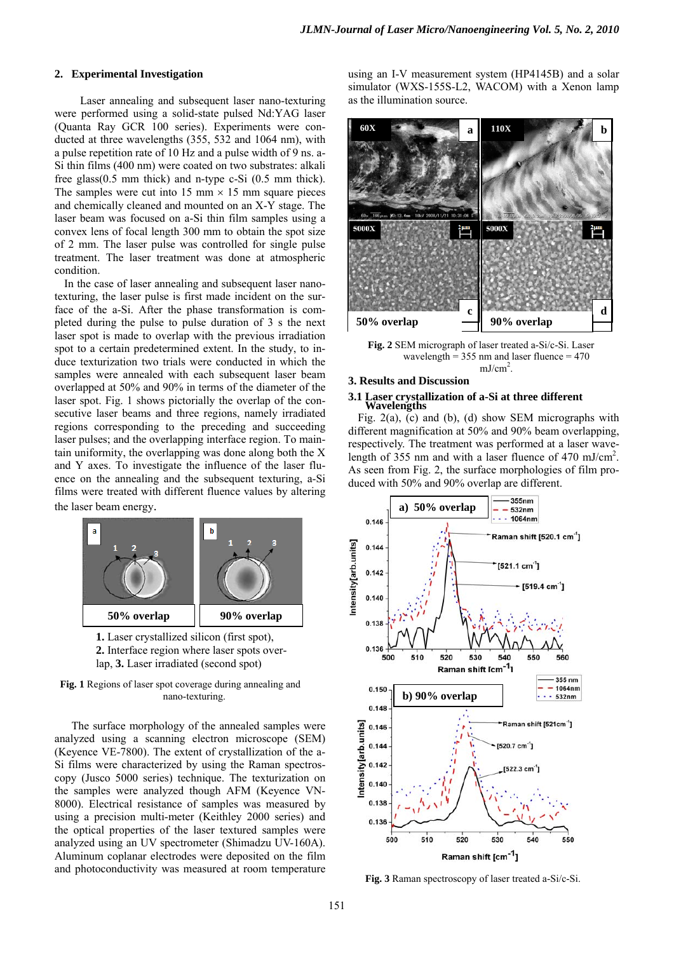## **2. Experimental Investigation**

Laser annealing and subsequent laser nano-texturing were performed using a solid-state pulsed Nd:YAG laser (Quanta Ray GCR 100 series). Experiments were conducted at three wavelengths (355, 532 and 1064 nm), with a pulse repetition rate of 10 Hz and a pulse width of 9 ns. a-Si thin films (400 nm) were coated on two substrates: alkali free glass(0.5 mm thick) and n-type c-Si (0.5 mm thick). The samples were cut into 15 mm  $\times$  15 mm square pieces and chemically cleaned and mounted on an X-Y stage. The laser beam was focused on a-Si thin film samples using a convex lens of focal length 300 mm to obtain the spot size of 2 mm. The laser pulse was controlled for single pulse treatment. The laser treatment was done at atmospheric condition.

In the case of laser annealing and subsequent laser nanotexturing, the laser pulse is first made incident on the surface of the a-Si. After the phase transformation is completed during the pulse to pulse duration of 3 s the next laser spot is made to overlap with the previous irradiation spot to a certain predetermined extent. In the study, to induce texturization two trials were conducted in which the samples were annealed with each subsequent laser beam overlapped at 50% and 90% in terms of the diameter of the laser spot. Fig. 1 shows pictorially the overlap of the consecutive laser beams and three regions, namely irradiated regions corresponding to the preceding and succeeding laser pulses; and the overlapping interface region. To maintain uniformity, the overlapping was done along both the X and Y axes. To investigate the influence of the laser fluence on the annealing and the subsequent texturing, a-Si films were treated with different fluence values by altering the laser beam energy.



**2.** Interface region where laser spots overlap, **3.** Laser irradiated (second spot)

**Fig. 1** Regions of laser spot coverage during annealing and nano-texturing.

 The surface morphology of the annealed samples were analyzed using a scanning electron microscope (SEM) (Keyence VE-7800). The extent of crystallization of the a-Si films were characterized by using the Raman spectroscopy (Jusco 5000 series) technique. The texturization on the samples were analyzed though AFM (Keyence VN-8000). Electrical resistance of samples was measured by using a precision multi-meter (Keithley 2000 series) and the optical properties of the laser textured samples were analyzed using an UV spectrometer (Shimadzu UV-160A). Aluminum coplanar electrodes were deposited on the film and photoconductivity was measured at room temperature

using an I-V measurement system (HP4145B) and a solar simulator (WXS-155S-L2, WACOM) with a Xenon lamp as the illumination source.



**Fig. 2** SEM micrograph of laser treated a-Si/c-Si. Laser wavelength =  $355 \text{ nm}$  and laser fluence =  $470$ mJ/cm<sup>2</sup>.

## **3. Results and Discussion**

#### **3.1 Laser crystallization of a-Si at three different Wavelengths**

Fig. 2(a), (c) and (b), (d) show SEM micrographs with different magnification at 50% and 90% beam overlapping, respectively. The treatment was performed at a laser wavelength of 355 nm and with a laser fluence of 470 mJ/cm<sup>2</sup>. As seen from Fig. 2, the surface morphologies of film produced with 50% and 90% overlap are different.



**Fig. 3** Raman spectroscopy of laser treated a-Si/c-Si.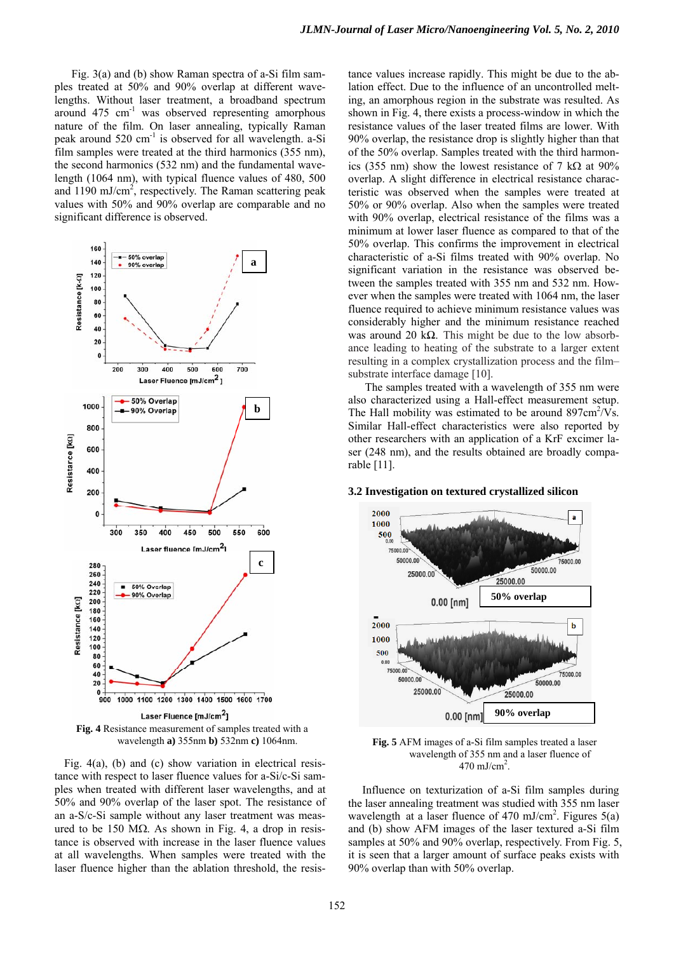Fig. 3(a) and (b) show Raman spectra of a-Si film samples treated at 50% and 90% overlap at different wavelengths. Without laser treatment, a broadband spectrum around  $475 \text{ cm}^{-1}$  was observed representing amorphous nature of the film. On laser annealing, typically Raman peak around 520 cm-1 is observed for all wavelength. a-Si film samples were treated at the third harmonics (355 nm), the second harmonics (532 nm) and the fundamental wavelength (1064 nm), with typical fluence values of 480, 500 and 1190 mJ/cm<sup>2</sup>, respectively. The Raman scattering peak values with 50% and 90% overlap are comparable and no significant difference is observed.



wavelength **a)** 355nm **b)** 532nm **c)** 1064nm.

Fig. 4(a), (b) and (c) show variation in electrical resistance with respect to laser fluence values for a-Si/c-Si samples when treated with different laser wavelengths, and at 50% and 90% overlap of the laser spot. The resistance of an a-S/c-Si sample without any laser treatment was measured to be 150 MΩ. As shown in Fig. 4, a drop in resistance is observed with increase in the laser fluence values at all wavelengths. When samples were treated with the laser fluence higher than the ablation threshold, the resistance values increase rapidly. This might be due to the ablation effect. Due to the influence of an uncontrolled melting, an amorphous region in the substrate was resulted. As shown in Fig. 4, there exists a process-window in which the resistance values of the laser treated films are lower. With 90% overlap, the resistance drop is slightly higher than that of the 50% overlap. Samples treated with the third harmonics (355 nm) show the lowest resistance of 7 k $\Omega$  at 90% overlap. A slight difference in electrical resistance characteristic was observed when the samples were treated at 50% or 90% overlap. Also when the samples were treated with 90% overlap, electrical resistance of the films was a minimum at lower laser fluence as compared to that of the 50% overlap. This confirms the improvement in electrical characteristic of a-Si films treated with 90% overlap. No significant variation in the resistance was observed between the samples treated with 355 nm and 532 nm. However when the samples were treated with 1064 nm, the laser fluence required to achieve minimum resistance values was considerably higher and the minimum resistance reached was around 20 kΩ. This might be due to the low absorbance leading to heating of the substrate to a larger extent resulting in a complex crystallization process and the film– substrate interface damage [10].

 The samples treated with a wavelength of 355 nm were also characterized using a Hall-effect measurement setup. The Hall mobility was estimated to be around  $897 \text{cm}^2/\text{Vs}$ . Similar Hall-effect characteristics were also reported by other researchers with an application of a KrF excimer laser (248 nm), and the results obtained are broadly comparable [11].

#### **3.2 Investigation on textured crystallized silicon**



**Fig. 5** AFM images of a-Si film samples treated a laser wavelength of 355 nm and a laser fluence of  $470 \text{ mJ/cm}^2$ .

 Influence on texturization of a-Si film samples during the laser annealing treatment was studied with 355 nm laser wavelength at a laser fluence of 470 mJ/cm<sup>2</sup>. Figures  $5(a)$ and (b) show AFM images of the laser textured a-Si film samples at 50% and 90% overlap, respectively. From Fig. 5, it is seen that a larger amount of surface peaks exists with 90% overlap than with 50% overlap.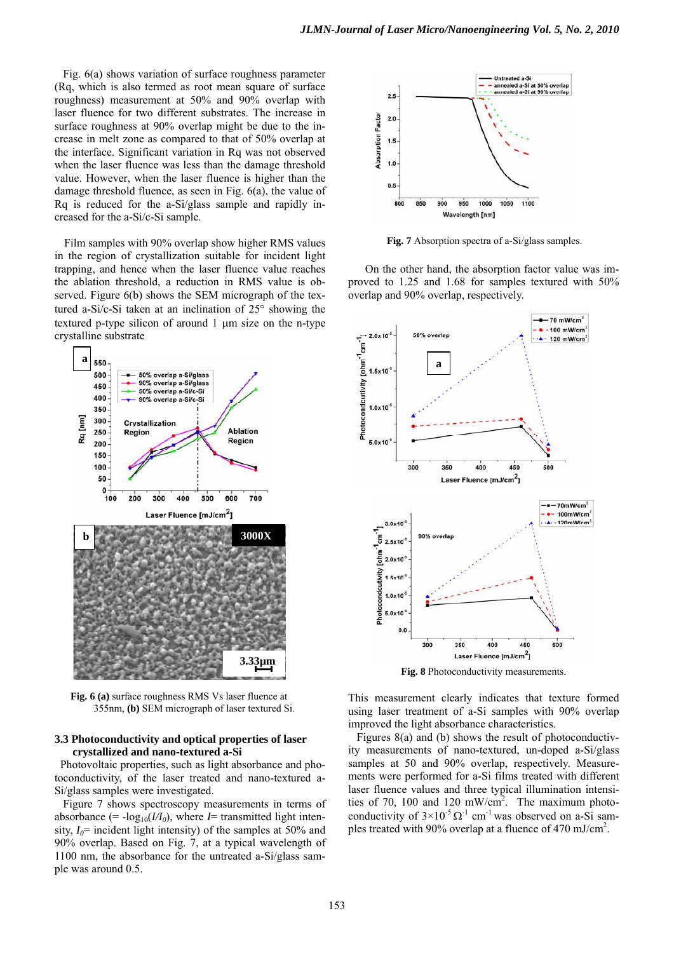Fig. 6(a) shows variation of surface roughness parameter (Rq, which is also termed as root mean square of surface roughness) measurement at 50% and 90% overlap with laser fluence for two different substrates. The increase in surface roughness at 90% overlap might be due to the increase in melt zone as compared to that of 50% overlap at the interface. Significant variation in Rq was not observed when the laser fluence was less than the damage threshold value. However, when the laser fluence is higher than the damage threshold fluence, as seen in Fig. 6(a), the value of Rq is reduced for the a-Si/glass sample and rapidly increased for the a-Si/c-Si sample.

Film samples with 90% overlap show higher RMS values in the region of crystallization suitable for incident light trapping, and hence when the laser fluence value reaches the ablation threshold, a reduction in RMS value is observed. Figure 6(b) shows the SEM micrograph of the textured a-Si/c-Si taken at an inclination of 25° showing the textured p-type silicon of around 1 μm size on the n-type crystalline substrate



**Fig. 6 (a)** surface roughness RMS Vs laser fluence at 355nm, **(b)** SEM micrograph of laser textured Si.

## **3.3 Photoconductivity and optical properties of laser crystallized and nano-textured a-Si**

 Photovoltaic properties, such as light absorbance and photoconductivity, of the laser treated and nano-textured a-Si/glass samples were investigated.

 Figure 7 shows spectroscopy measurements in terms of absorbance (=  $-log_{10}(VI_0)$ , where *I*= transmitted light intensity,  $I_0$ = incident light intensity) of the samples at 50% and 90% overlap. Based on Fig. 7, at a typical wavelength of 1100 nm, the absorbance for the untreated a-Si/glass sample was around 0.5.



**Fig. 7** Absorption spectra of a-Si/glass samples.

On the other hand, the absorption factor value was improved to 1.25 and 1.68 for samples textured with 50% overlap and 90% overlap, respectively.



**Fig. 8** Photoconductivity measurements.

This measurement clearly indicates that texture formed using laser treatment of a-Si samples with 90% overlap improved the light absorbance characteristics.

 Figures 8(a) and (b) shows the result of photoconductivity measurements of nano-textured, un-doped a-Si/glass samples at 50 and 90% overlap, respectively. Measurements were performed for a-Si films treated with different laser fluence values and three typical illumination intensities of 70, 100 and 120 mW/cm<sup>2</sup>. The maximum photoconductivity of  $3\times10^{-5} \Omega^{-1}$  cm<sup>-1</sup> was observed on a-Si samples treated with 90% overlap at a fluence of 470 mJ/cm<sup>2</sup>.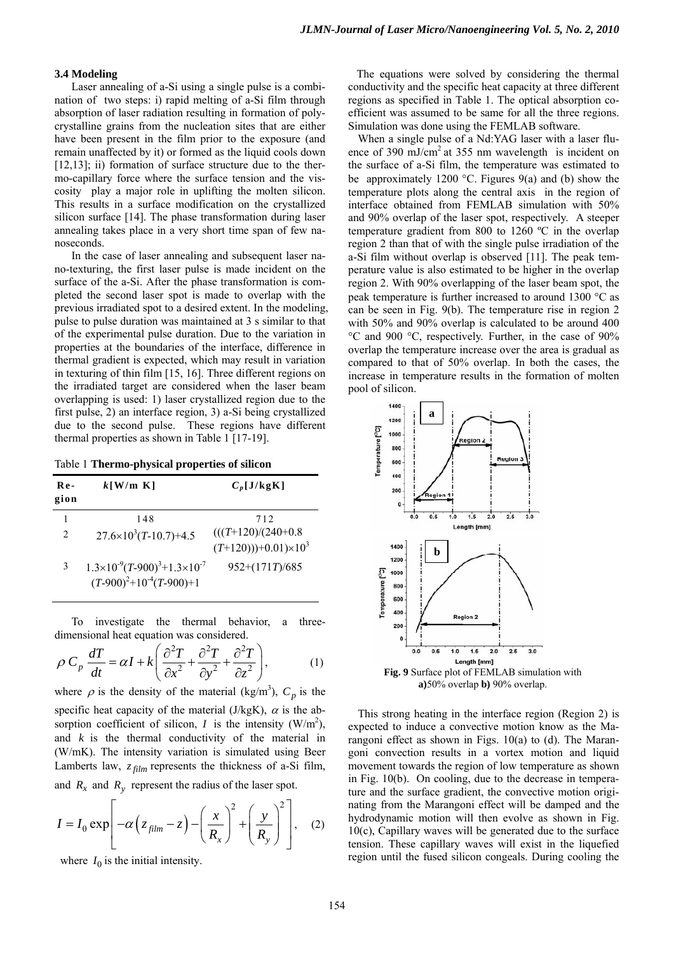## **3.4 Modeling**

Laser annealing of a-Si using a single pulse is a combination of two steps: i) rapid melting of a-Si film through absorption of laser radiation resulting in formation of polycrystalline grains from the nucleation sites that are either have been present in the film prior to the exposure (and remain unaffected by it) or formed as the liquid cools down [12,13]; ii) formation of surface structure due to the thermo-capillary force where the surface tension and the viscosity play a major role in uplifting the molten silicon. This results in a surface modification on the crystallized silicon surface [14]. The phase transformation during laser annealing takes place in a very short time span of few nanoseconds.

In the case of laser annealing and subsequent laser nano-texturing, the first laser pulse is made incident on the surface of the a-Si. After the phase transformation is completed the second laser spot is made to overlap with the previous irradiated spot to a desired extent. In the modeling, pulse to pulse duration was maintained at 3 s similar to that of the experimental pulse duration. Due to the variation in properties at the boundaries of the interface, difference in thermal gradient is expected, which may result in variation in texturing of thin film [15, 16]. Three different regions on the irradiated target are considered when the laser beam overlapping is used: 1) laser crystallized region due to the first pulse, 2) an interface region, 3) a-Si being crystallized due to the second pulse. These regions have different thermal properties as shown in Table 1 [17-19].

Table 1 **Thermo-physical properties of silicon** 

| $Re-$<br>gion | $k$ [W/m K]                                  | $C_p$ [J/kgK]                     |
|---------------|----------------------------------------------|-----------------------------------|
|               | 148                                          | 712                               |
| 2             | $27.6 \times 10^3 (T - 10.7) + 4.5$          | $(((T+120)/(240+0.8$              |
|               |                                              | $(T+120))$ +0.01)×10 <sup>3</sup> |
| 3             | $1.3\times10^{-9}(T-900)^3+1.3\times10^{-7}$ | $952+(171T)/685$                  |
|               | $(T-900)^2+10^{-4}(T-900)+1$                 |                                   |

To investigate the thermal behavior, a threedimensional heat equation was considered.

$$
\rho C_p \frac{dT}{dt} = \alpha I + k \left( \frac{\partial^2 T}{\partial x^2} + \frac{\partial^2 T}{\partial y^2} + \frac{\partial^2 T}{\partial z^2} \right),
$$
 (1)

where  $\rho$  is the density of the material (kg/m<sup>3</sup>),  $C_p$  is the specific heat capacity of the material (J/kgK),  $\alpha$  is the absorption coefficient of silicon, *I* is the intensity  $(W/m^2)$ , and *k* is the thermal conductivity of the material in (W/mK). The intensity variation is simulated using Beer Lamberts law,  $z_{film}$  represents the thickness of a-Si film, and  $R_x$  and  $R_y$  represent the radius of the laser spot.

$$
I = I_0 \exp\left[-\alpha \left(z_{film} - z\right) - \left(\frac{x}{R_x}\right)^2 + \left(\frac{y}{R_y}\right)^2\right], \quad (2)
$$

where  $I_0$  is the initial intensity.

The equations were solved by considering the thermal conductivity and the specific heat capacity at three different regions as specified in Table 1. The optical absorption coefficient was assumed to be same for all the three regions. Simulation was done using the FEMLAB software.

When a single pulse of a Nd:YAG laser with a laser fluence of 390 mJ/cm<sup>2</sup> at 355 nm wavelength is incident on the surface of a-Si film, the temperature was estimated to be approximately 1200 °C. Figures 9(a) and (b) show the temperature plots along the central axis in the region of interface obtained from FEMLAB simulation with 50% and 90% overlap of the laser spot, respectively. A steeper temperature gradient from 800 to 1260 ºC in the overlap region 2 than that of with the single pulse irradiation of the a-Si film without overlap is observed [11]. The peak temperature value is also estimated to be higher in the overlap region 2. With 90% overlapping of the laser beam spot, the peak temperature is further increased to around 1300 °C as can be seen in Fig. 9(b). The temperature rise in region 2 with 50% and 90% overlap is calculated to be around 400 °C and 900 °C, respectively. Further, in the case of 90% overlap the temperature increase over the area is gradual as compared to that of 50% overlap. In both the cases, the increase in temperature results in the formation of molten pool of silicon.



**a)**50% overlap **b)** 90% overlap.

This strong heating in the interface region (Region 2) is expected to induce a convective motion know as the Marangoni effect as shown in Figs. 10(a) to (d). The Marangoni convection results in a vortex motion and liquid movement towards the region of low temperature as shown in Fig. 10(b). On cooling, due to the decrease in temperature and the surface gradient, the convective motion originating from the Marangoni effect will be damped and the hydrodynamic motion will then evolve as shown in Fig. 10(c), Capillary waves will be generated due to the surface tension. These capillary waves will exist in the liquefied region until the fused silicon congeals. During cooling the